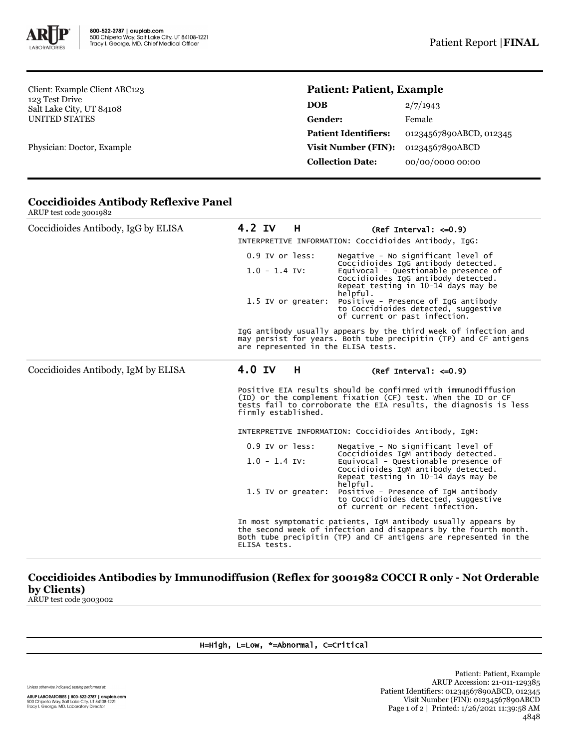

Client: Example Client ABC123 123 Test Drive Salt Lake City, UT 84108 UNITED STATES

Physician: Doctor, Example

# **Patient: Patient, Example**

| <b>DOB</b>                  | 2/7/1943                |
|-----------------------------|-------------------------|
| Gender:                     | Female                  |
| <b>Patient Identifiers:</b> | 01234567890ABCD, 012345 |
| Visit Number (FIN):         | 01234567890ABCD         |
| <b>Collection Date:</b>     | 00/00/0000 00:00        |

| Coccidioides Antibody, IgG by ELISA | 4.2 IV<br>H                                                                                                                                                                                                              | (Ref Interval: $\leq 0.9$ )                                                                                                                                           |  |  |
|-------------------------------------|--------------------------------------------------------------------------------------------------------------------------------------------------------------------------------------------------------------------------|-----------------------------------------------------------------------------------------------------------------------------------------------------------------------|--|--|
|                                     | INTERPRETIVE INFORMATION: Coccidioides Antibody, IqG:                                                                                                                                                                    |                                                                                                                                                                       |  |  |
|                                     | $0.9$ IV or less:                                                                                                                                                                                                        | Negative - No significant level of                                                                                                                                    |  |  |
|                                     | $1.0 - 1.4$ IV:                                                                                                                                                                                                          | Coccidioides IgG antibody detected.<br>Equivocal - Questionable presence of<br>Coccidioides IgG antibody detected.<br>Repeat testing in 10-14 days may be<br>helpful. |  |  |
|                                     | 1.5 IV or greater:                                                                                                                                                                                                       | Positive - Presence of IgG antibody<br>to Coccidioides detected, suggestive<br>of current or past infection.                                                          |  |  |
|                                     | IgG antibody usually appears by the third week of infection and<br>may persist for years. Both tube precipitin (TP) and CF antigens<br>are represented in the ELISA tests.                                               |                                                                                                                                                                       |  |  |
| Coccidioides Antibody, IgM by ELISA | 4.0 IV<br>H                                                                                                                                                                                                              | $(Ref Interval: < = 0.9)$                                                                                                                                             |  |  |
|                                     | Positive EIA results should be confirmed with immunodiffusion<br>(ID) or the complement fixation (CF) test. When the ID or CF<br>tests fail to corroborate the EIA results, the diagnosis is less<br>firmly established. |                                                                                                                                                                       |  |  |
|                                     | INTERPRETIVE INFORMATION: Coccidioides Antibody, IgM:                                                                                                                                                                    |                                                                                                                                                                       |  |  |
|                                     | $0.9$ IV or $less:$                                                                                                                                                                                                      | Negative - No significant level of                                                                                                                                    |  |  |
|                                     | $1.0 - 1.4$ IV:                                                                                                                                                                                                          | Coccidioides IgM antibody detected.<br>Equivocal - Questionable presence of<br>Coccidioides IgM antibody detected.<br>Repeat testing in 10-14 days may be<br>helpful. |  |  |
|                                     | 1.5 IV or greater:                                                                                                                                                                                                       | Positive - Presence of IgM antibody<br>to Coccidioides detected, suggestive<br>of current or recent infection.                                                        |  |  |
|                                     | In most symptomatic patients, IgM antibody usually appears by<br>the second week of infection and disappears by the fourth month.<br>Both tube precipitin (TP) and CF antigens are represented in the<br>ELISA tests.    |                                                                                                                                                                       |  |  |

### **Coccidioides Antibody Reflexive Panel** ARUP test code 3001982

**Coccidioides Antibodies by Immunodiffusion (Reflex for 3001982 COCCI R only - Not Orderable by Clients)** ARUP test code 3003002

### H=High, L=Low, \*=Abnormal, C=Critical

Unless otherwise indicated, testing performed at: